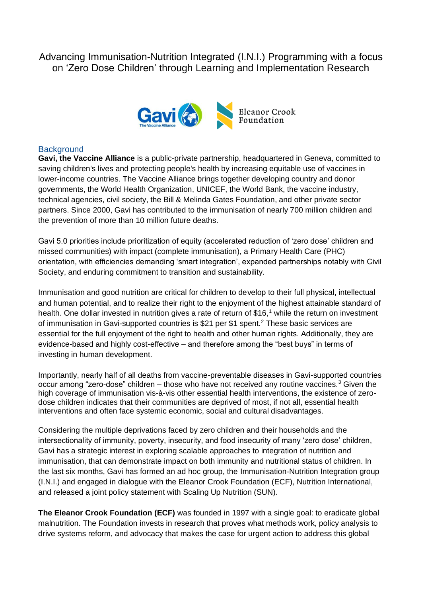Advancing Immunisation-Nutrition Integrated (I.N.I.) Programming with a focus on 'Zero Dose Children' through Learning and Implementation Research



## **Background**

**Gavi, the Vaccine Alliance** is a public-private partnership, headquartered in Geneva, committed to saving children's lives and protecting people's health by increasing equitable use of vaccines in lower-income countries. The Vaccine Alliance brings together developing country and donor governments, the World Health Organization, UNICEF, the World Bank, the vaccine industry, technical agencies, civil society, the Bill & Melinda Gates Foundation, and other private sector partners. Since 2000, Gavi has contributed to the immunisation of nearly 700 million children and the prevention of more than 10 million future deaths.

Gavi 5.0 priorities include prioritization of equity (accelerated reduction of 'zero dose' children and missed communities) with impact (complete immunisation), a Primary Health Care (PHC) orientation, with efficiencies demanding 'smart integration', expanded partnerships notably with Civil Society, and enduring commitment to transition and sustainability.

Immunisation and good nutrition are critical for children to develop to their full physical, intellectual and human potential, and to realize their right to the enjoyment of the highest attainable standard of health. One dollar invested in nutrition gives a rate of return of \$16,<sup>1</sup> while the return on investment of immunisation in Gavi-supported countries is \$21 per \$1 spent.<sup>2</sup> These basic services are essential for the full enjoyment of the right to health and other human rights. Additionally, they are evidence-based and highly cost-effective – and therefore among the "best buys" in terms of investing in human development.

Importantly, nearly half of all deaths from vaccine-preventable diseases in Gavi-supported countries occur among "zero-dose" children – those who have not received any routine vaccines.<sup>3</sup> Given the high coverage of immunisation vis-à-vis other essential health interventions, the existence of zerodose children indicates that their communities are deprived of most, if not all, essential health interventions and often face systemic economic, social and cultural disadvantages.

Considering the multiple deprivations faced by zero children and their households and the intersectionality of immunity, poverty, insecurity, and food insecurity of many 'zero dose' children, Gavi has a strategic interest in exploring scalable approaches to integration of nutrition and immunisation, that can demonstrate impact on both immunity and nutritional status of children. In the last six months, Gavi has formed an ad hoc group, the Immunisation-Nutrition Integration group (I.N.I.) and engaged in dialogue with the Eleanor Crook Foundation (ECF), Nutrition International, and released a joint policy statement with Scaling Up Nutrition (SUN).

**The Eleanor Crook Foundation (ECF)** was founded in 1997 with a single goal: to eradicate global malnutrition. The Foundation invests in research that proves what methods work, policy analysis to drive systems reform, and advocacy that makes the case for urgent action to address this global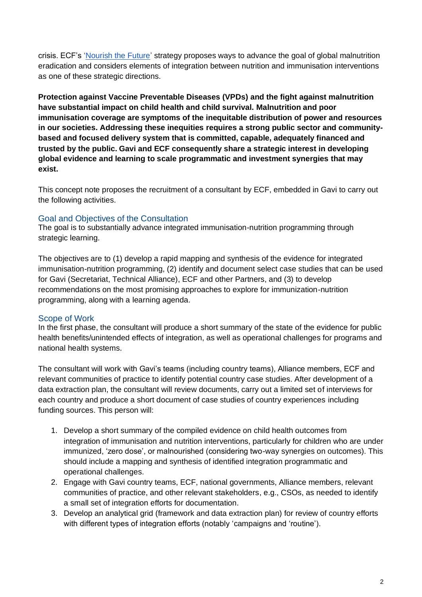crisis. ECF's ['Nourish the Future'](http://www.endmalnutrition.org/) strategy proposes ways to advance the goal of global malnutrition eradication and considers elements of integration between nutrition and immunisation interventions as one of these strategic directions.

**Protection against Vaccine Preventable Diseases (VPDs) and the fight against malnutrition have substantial impact on child health and child survival. Malnutrition and poor immunisation coverage are symptoms of the inequitable distribution of power and resources in our societies. Addressing these inequities requires a strong public sector and communitybased and focused delivery system that is committed, capable, adequately financed and trusted by the public. Gavi and ECF consequently share a strategic interest in developing global evidence and learning to scale programmatic and investment synergies that may exist.** 

This concept note proposes the recruitment of a consultant by ECF, embedded in Gavi to carry out the following activities.

## Goal and Objectives of the Consultation

The goal is to substantially advance integrated immunisation-nutrition programming through strategic learning.

The objectives are to (1) develop a rapid mapping and synthesis of the evidence for integrated immunisation-nutrition programming, (2) identify and document select case studies that can be used for Gavi (Secretariat, Technical Alliance), ECF and other Partners, and (3) to develop recommendations on the most promising approaches to explore for immunization-nutrition programming, along with a learning agenda.

## Scope of Work

In the first phase, the consultant will produce a short summary of the state of the evidence for public health benefits/unintended effects of integration, as well as operational challenges for programs and national health systems.

The consultant will work with Gavi's teams (including country teams), Alliance members, ECF and relevant communities of practice to identify potential country case studies. After development of a data extraction plan, the consultant will review documents, carry out a limited set of interviews for each country and produce a short document of case studies of country experiences including funding sources. This person will:

- 1. Develop a short summary of the compiled evidence on child health outcomes from integration of immunisation and nutrition interventions, particularly for children who are under immunized, 'zero dose', or malnourished (considering two-way synergies on outcomes). This should include a mapping and synthesis of identified integration programmatic and operational challenges.
- 2. Engage with Gavi country teams, ECF, national governments, Alliance members, relevant communities of practice, and other relevant stakeholders, e.g., CSOs, as needed to identify a small set of integration efforts for documentation.
- 3. Develop an analytical grid (framework and data extraction plan) for review of country efforts with different types of integration efforts (notably 'campaigns and 'routine').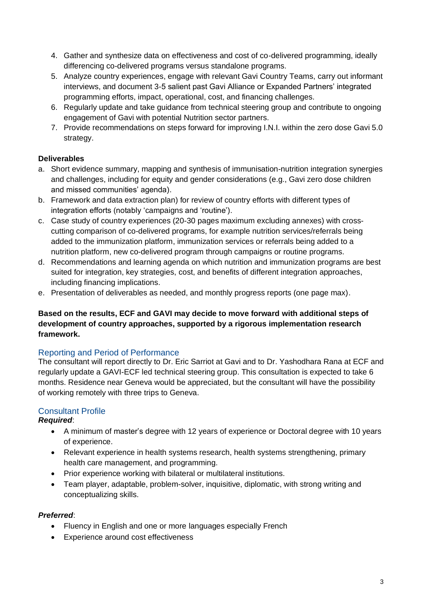- 4. Gather and synthesize data on effectiveness and cost of co-delivered programming, ideally differencing co-delivered programs versus standalone programs.
- 5. Analyze country experiences, engage with relevant Gavi Country Teams, carry out informant interviews, and document 3-5 salient past Gavi Alliance or Expanded Partners' integrated programming efforts, impact, operational, cost, and financing challenges.
- 6. Regularly update and take guidance from technical steering group and contribute to ongoing engagement of Gavi with potential Nutrition sector partners.
- 7. Provide recommendations on steps forward for improving I.N.I. within the zero dose Gavi 5.0 strategy.

# **Deliverables**

- a. Short evidence summary, mapping and synthesis of immunisation-nutrition integration synergies and challenges, including for equity and gender considerations (e.g., Gavi zero dose children and missed communities' agenda).
- b. Framework and data extraction plan) for review of country efforts with different types of integration efforts (notably 'campaigns and 'routine').
- c. Case study of country experiences (20-30 pages maximum excluding annexes) with crosscutting comparison of co-delivered programs, for example nutrition services/referrals being added to the immunization platform, immunization services or referrals being added to a nutrition platform, new co-delivered program through campaigns or routine programs.
- d. Recommendations and learning agenda on which nutrition and immunization programs are best suited for integration, key strategies, cost, and benefits of different integration approaches, including financing implications.
- e. Presentation of deliverables as needed, and monthly progress reports (one page max).

## **Based on the results, ECF and GAVI may decide to move forward with additional steps of development of country approaches, supported by a rigorous implementation research framework.**

# Reporting and Period of Performance

The consultant will report directly to Dr. Eric Sarriot at Gavi and to Dr. Yashodhara Rana at ECF and regularly update a GAVI-ECF led technical steering group. This consultation is expected to take 6 months. Residence near Geneva would be appreciated, but the consultant will have the possibility of working remotely with three trips to Geneva.

# Consultant Profile

# *Required*:

- A minimum of master's degree with 12 years of experience or Doctoral degree with 10 years of experience.
- Relevant experience in health systems research, health systems strengthening, primary health care management, and programming.
- Prior experience working with bilateral or multilateral institutions.
- Team player, adaptable, problem-solver, inquisitive, diplomatic, with strong writing and conceptualizing skills.

# *Preferred*:

- Fluency in English and one or more languages especially French
- Experience around cost effectiveness